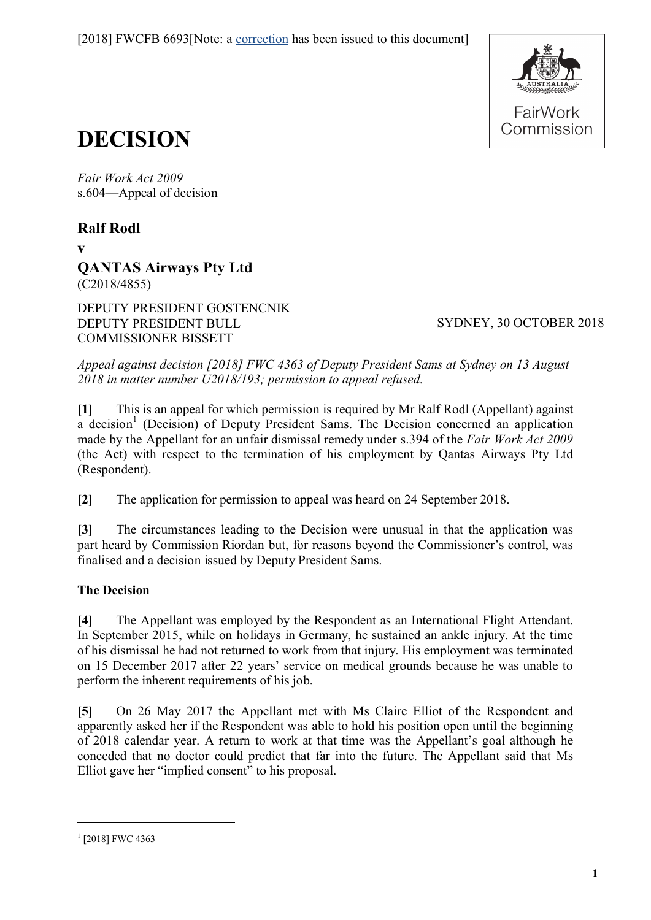

# **DECISION**

*Fair Work Act 2009*  s.604—Appeal of decision

**Ralf Rodl**

**v**

**QANTAS Airways Pty Ltd** (C2018/4855)

DEPUTY PRESIDENT GOSTENCNIK DEPUTY PRESIDENT BULL COMMISSIONER BISSETT

SYDNEY, 30 OCTOBER 2018

*Appeal against decision [2018] FWC 4363 of Deputy President Sams at Sydney on 13 August 2018 in matter number U2018/193; permission to appeal refused.*

**[1]** This is an appeal for which permission is required by Mr Ralf Rodl (Appellant) against a decision<sup>[1](#page-0-0)</sup> (Decision) of Deputy President Sams. The Decision concerned an application made by the Appellant for an unfair dismissal remedy under s.394 of the *Fair Work Act 2009* (the Act) with respect to the termination of his employment by Qantas Airways Pty Ltd (Respondent).

**[2]** The application for permission to appeal was heard on 24 September 2018.

**[3]** The circumstances leading to the Decision were unusual in that the application was part heard by Commission Riordan but, for reasons beyond the Commissioner's control, was finalised and a decision issued by Deputy President Sams.

# **The Decision**

**[4]** The Appellant was employed by the Respondent as an International Flight Attendant. In September 2015, while on holidays in Germany, he sustained an ankle injury. At the time of his dismissal he had not returned to work from that injury. His employment was terminated on 15 December 2017 after 22 years' service on medical grounds because he was unable to perform the inherent requirements of his job.

**[5]** On 26 May 2017 the Appellant met with Ms Claire Elliot of the Respondent and apparently asked her if the Respondent was able to hold his position open until the beginning of 2018 calendar year. A return to work at that time was the Appellant's goal although he conceded that no doctor could predict that far into the future. The Appellant said that Ms Elliot gave her "implied consent" to his proposal.

<span id="page-0-0"></span> $1$  [2018] FWC 4363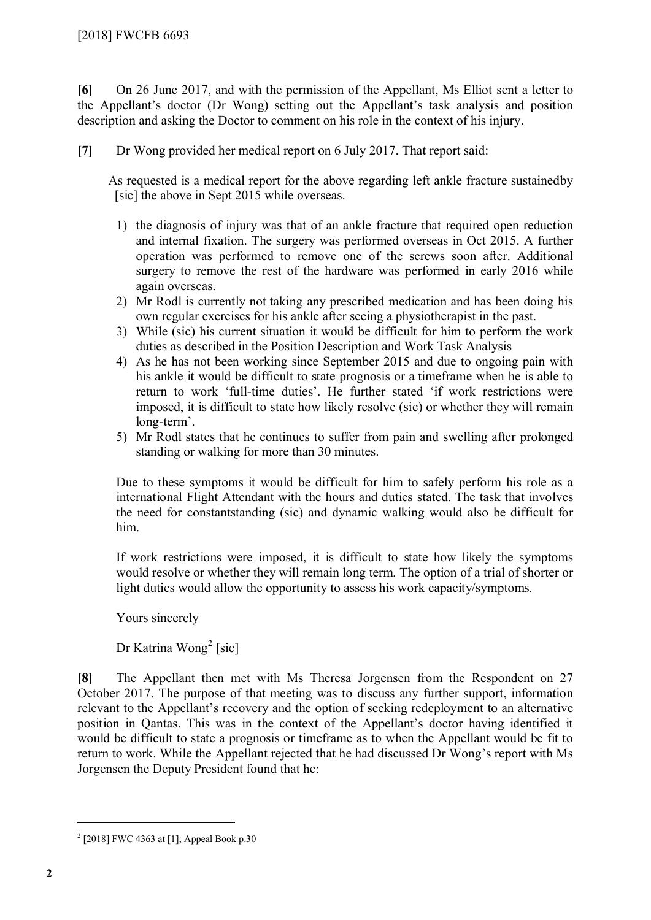**[6]** On 26 June 2017, and with the permission of the Appellant, Ms Elliot sent a letter to the Appellant's doctor (Dr Wong) setting out the Appellant's task analysis and position description and asking the Doctor to comment on his role in the context of his injury.

**[7]** Dr Wong provided her medical report on 6 July 2017. That report said:

As requested is a medical report for the above regarding left ankle fracture sustainedby [sic] the above in Sept 2015 while overseas.

- 1) the diagnosis of injury was that of an ankle fracture that required open reduction and internal fixation. The surgery was performed overseas in Oct 2015. A further operation was performed to remove one of the screws soon after. Additional surgery to remove the rest of the hardware was performed in early 2016 while again overseas.
- 2) Mr Rodl is currently not taking any prescribed medication and has been doing his own regular exercises for his ankle after seeing a physiotherapist in the past.
- 3) While (sic) his current situation it would be difficult for him to perform the work duties as described in the Position Description and Work Task Analysis
- 4) As he has not been working since September 2015 and due to ongoing pain with his ankle it would be difficult to state prognosis or a timeframe when he is able to return to work 'full-time duties'. He further stated 'if work restrictions were imposed, it is difficult to state how likely resolve (sic) or whether they will remain long-term'.
- 5) Mr Rodl states that he continues to suffer from pain and swelling after prolonged standing or walking for more than 30 minutes.

Due to these symptoms it would be difficult for him to safely perform his role as a international Flight Attendant with the hours and duties stated. The task that involves the need for constantstanding (sic) and dynamic walking would also be difficult for him.

If work restrictions were imposed, it is difficult to state how likely the symptoms would resolve or whether they will remain long term. The option of a trial of shorter or light duties would allow the opportunity to assess his work capacity/symptoms.

Yours sincerely

Dr Katrina Wong<sup>[2](#page-1-0)</sup> [sic]

**[8]** The Appellant then met with Ms Theresa Jorgensen from the Respondent on 27 October 2017. The purpose of that meeting was to discuss any further support, information relevant to the Appellant's recovery and the option of seeking redeployment to an alternative position in Qantas. This was in the context of the Appellant's doctor having identified it would be difficult to state a prognosis or timeframe as to when the Appellant would be fit to return to work. While the Appellant rejected that he had discussed Dr Wong's report with Ms Jorgensen the Deputy President found that he:

<span id="page-1-0"></span> $2$  [2018] FWC 4363 at [1]; Appeal Book p.30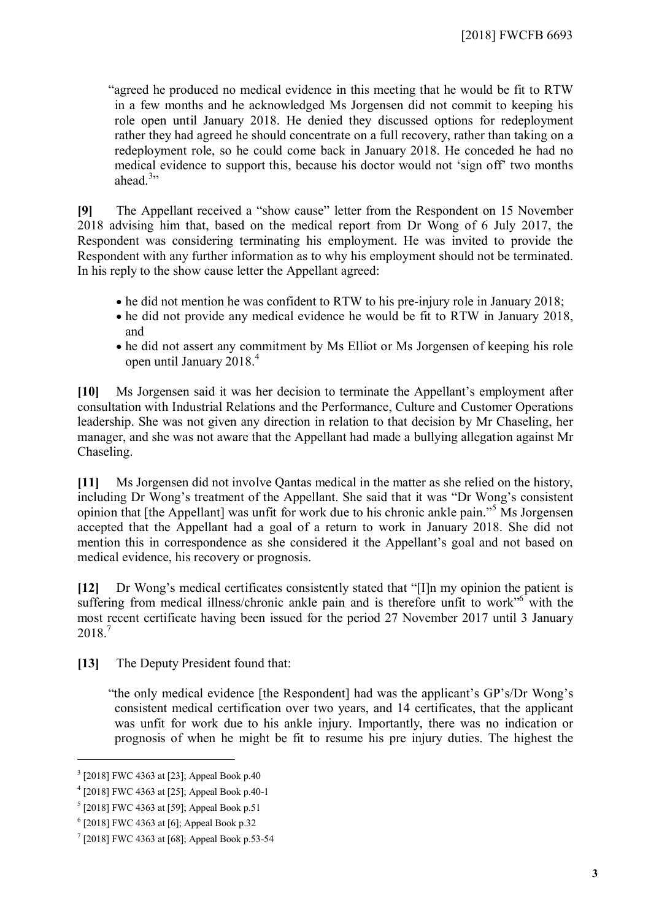"agreed he produced no medical evidence in this meeting that he would be fit to RTW in a few months and he acknowledged Ms Jorgensen did not commit to keeping his role open until January 2018. He denied they discussed options for redeployment rather they had agreed he should concentrate on a full recovery, rather than taking on a redeployment role, so he could come back in January 2018. He conceded he had no medical evidence to support this, because his doctor would not 'sign off' two months ahead. $3$ "

**[9]** The Appellant received a "show cause" letter from the Respondent on 15 November 2018 advising him that, based on the medical report from Dr Wong of 6 July 2017, the Respondent was considering terminating his employment. He was invited to provide the Respondent with any further information as to why his employment should not be terminated. In his reply to the show cause letter the Appellant agreed:

- he did not mention he was confident to RTW to his pre-injury role in January 2018;
- he did not provide any medical evidence he would be fit to RTW in January 2018, and
- he did not assert any commitment by Ms Elliot or Ms Jorgensen of keeping his role open until January 2018.[4](#page-2-1)

**[10]** Ms Jorgensen said it was her decision to terminate the Appellant's employment after consultation with Industrial Relations and the Performance, Culture and Customer Operations leadership. She was not given any direction in relation to that decision by Mr Chaseling, her manager, and she was not aware that the Appellant had made a bullying allegation against Mr Chaseling.

**[11]** Ms Jorgensen did not involve Qantas medical in the matter as she relied on the history, including Dr Wong's treatment of the Appellant. She said that it was "Dr Wong's consistent opinion that [the Appellant] was unfit for work due to his chronic ankle pain."[5](#page-2-2) Ms Jorgensen accepted that the Appellant had a goal of a return to work in January 2018. She did not mention this in correspondence as she considered it the Appellant's goal and not based on medical evidence, his recovery or prognosis.

**[12]** Dr Wong's medical certificates consistently stated that "[I]n my opinion the patient is suffering from medical illness/chronic ankle pain and is therefore unfit to work"<sup>[6](#page-2-3)</sup> with the most recent certificate having been issued for the period 27 November 2017 until 3 January 2018.[7](#page-2-4)

**[13]** The Deputy President found that:

"the only medical evidence [the Respondent] had was the applicant's GP's/Dr Wong's consistent medical certification over two years, and 14 certificates, that the applicant was unfit for work due to his ankle injury. Importantly, there was no indication or prognosis of when he might be fit to resume his pre injury duties. The highest the

<span id="page-2-0"></span><sup>&</sup>lt;sup>3</sup> [2018] FWC 4363 at [23]; Appeal Book p.40

<span id="page-2-1"></span><sup>4</sup> [2018] FWC 4363 at [25]; Appeal Book p.40-1

<span id="page-2-2"></span><sup>5</sup> [2018] FWC 4363 at [59]; Appeal Book p.51

<span id="page-2-3"></span><sup>6</sup> [2018] FWC 4363 at [6]; Appeal Book p.32

<span id="page-2-4"></span><sup>&</sup>lt;sup>7</sup> [2018] FWC 4363 at [68]; Appeal Book p.53-54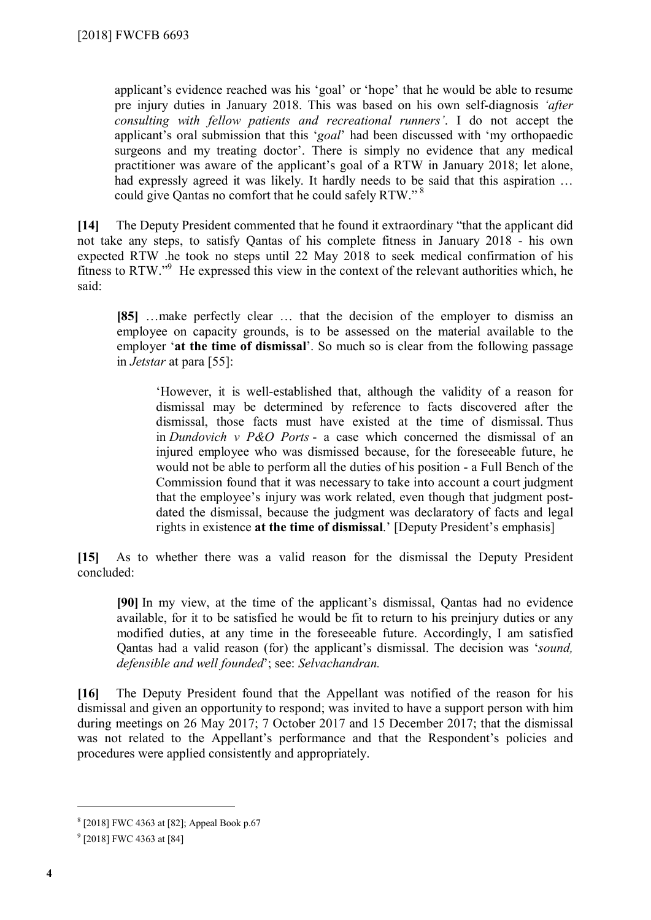applicant's evidence reached was his 'goal' or 'hope' that he would be able to resume pre injury duties in January 2018. This was based on his own self-diagnosis *'after consulting with fellow patients and recreational runners'*. I do not accept the applicant's oral submission that this '*goal*' had been discussed with 'my orthopaedic surgeons and my treating doctor'. There is simply no evidence that any medical practitioner was aware of the applicant's goal of a RTW in January 2018; let alone, had expressly agreed it was likely. It hardly needs to be said that this aspiration … could give Qantas no comfort that he could safely RTW."<sup>[8](#page-3-0)</sup>

**[14]** The Deputy President commented that he found it extraordinary "that the applicant did not take any steps, to satisfy Qantas of his complete fitness in January 2018 - his own expected RTW .he took no steps until 22 May 2018 to seek medical confirmation of his fitness to RTW."<sup>[9](#page-3-1)</sup> He expressed this view in the context of the relevant authorities which, he said:

**[85]** …make perfectly clear … that the decision of the employer to dismiss an employee on capacity grounds, is to be assessed on the material available to the employer '**at the time of dismissal**'. So much so is clear from the following passage in *Jetstar* at para [55]:

'However, it is well-established that, although the validity of a reason for dismissal may be determined by reference to facts discovered after the dismissal, those facts must have existed at the time of dismissal. Thus in *Dundovich v P&O Ports* - a case which concerned the dismissal of an injured employee who was dismissed because, for the foreseeable future, he would not be able to perform all the duties of his position - a Full Bench of the Commission found that it was necessary to take into account a court judgment that the employee's injury was work related, even though that judgment postdated the dismissal, because the judgment was declaratory of facts and legal rights in existence **at the time of dismissal**.' [Deputy President's emphasis]

**[15]** As to whether there was a valid reason for the dismissal the Deputy President concluded:

**[90]** In my view, at the time of the applicant's dismissal, Qantas had no evidence available, for it to be satisfied he would be fit to return to his preinjury duties or any modified duties, at any time in the foreseeable future. Accordingly, I am satisfied Qantas had a valid reason (for) the applicant's dismissal. The decision was '*sound, defensible and well founded*'; see: *Selvachandran.*

**[16]** The Deputy President found that the Appellant was notified of the reason for his dismissal and given an opportunity to respond; was invited to have a support person with him during meetings on 26 May 2017; 7 October 2017 and 15 December 2017; that the dismissal was not related to the Appellant's performance and that the Respondent's policies and procedures were applied consistently and appropriately.

<span id="page-3-0"></span><sup>8</sup> [2018] FWC 4363 at [82]; Appeal Book p.67

<span id="page-3-1"></span><sup>&</sup>lt;sup>9</sup> [2018] FWC 4363 at [84]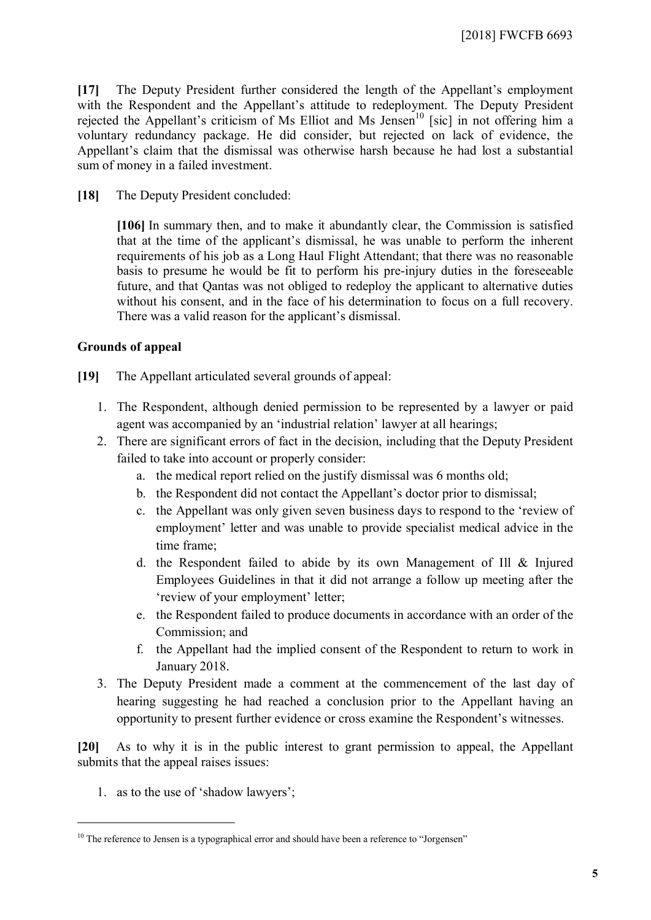**[17]** The Deputy President further considered the length of the Appellant's employment with the Respondent and the Appellant's attitude to redeployment. The Deputy President rejected the Appellant's criticism of Ms Elliot and Ms Jensen<sup>[10](#page-4-0)</sup> [sic] in not offering him a voluntary redundancy package. He did consider, but rejected on lack of evidence, the Appellant's claim that the dismissal was otherwise harsh because he had lost a substantial sum of money in a failed investment.

**[18]** The Deputy President concluded:

**[106]** In summary then, and to make it abundantly clear, the Commission is satisfied that at the time of the applicant's dismissal, he was unable to perform the inherent requirements of his job as a Long Haul Flight Attendant; that there was no reasonable basis to presume he would be fit to perform his pre-injury duties in the foreseeable future, and that Qantas was not obliged to redeploy the applicant to alternative duties without his consent, and in the face of his determination to focus on a full recovery. There was a valid reason for the applicant's dismissal.

#### **Grounds of appeal**

- **[19]** The Appellant articulated several grounds of appeal:
	- 1. The Respondent, although denied permission to be represented by a lawyer or paid agent was accompanied by an 'industrial relation' lawyer at all hearings;
	- 2. There are significant errors of fact in the decision, including that the Deputy President failed to take into account or properly consider:
		- a. the medical report relied on the justify dismissal was 6 months old;
		- b. the Respondent did not contact the Appellant's doctor prior to dismissal;
		- c. the Appellant was only given seven business days to respond to the 'review of employment' letter and was unable to provide specialist medical advice in the time frame;
		- d. the Respondent failed to abide by its own Management of Ill & Injured Employees Guidelines in that it did not arrange a follow up meeting after the 'review of your employment' letter;
		- e. the Respondent failed to produce documents in accordance with an order of the Commission; and
		- f. the Appellant had the implied consent of the Respondent to return to work in January 2018.
	- 3. The Deputy President made a comment at the commencement of the last day of hearing suggesting he had reached a conclusion prior to the Appellant having an opportunity to present further evidence or cross examine the Respondent's witnesses.

**[20]** As to why it is in the public interest to grant permission to appeal, the Appellant submits that the appeal raises issues:

1. as to the use of 'shadow lawyers';

<span id="page-4-0"></span><sup>&</sup>lt;sup>10</sup> The reference to Jensen is a typographical error and should have been a reference to "Jorgensen"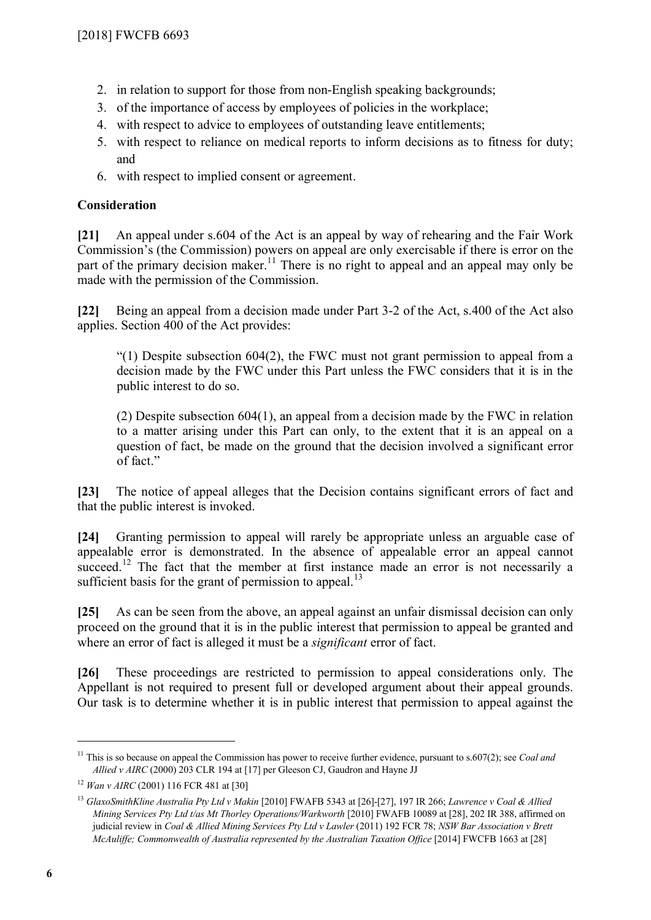- 2. in relation to support for those from non-English speaking backgrounds;
- 3. of the importance of access by employees of policies in the workplace;
- 4. with respect to advice to employees of outstanding leave entitlements;
- 5. with respect to reliance on medical reports to inform decisions as to fitness for duty; and
- 6. with respect to implied consent or agreement.

## **Consideration**

**[21]** An appeal under s.604 of the Act is an appeal by way of rehearing and the Fair Work Commission's (the Commission) powers on appeal are only exercisable if there is error on the part of the primary decision maker.<sup>[11](#page-5-0)</sup> There is no right to appeal and an appeal may only be made with the permission of the Commission.

**[22]** Being an appeal from a decision made under Part 3-2 of the Act, s.400 of the Act also applies. Section 400 of the Act provides:

 $(1)$  Despite subsection 604(2), the FWC must not grant permission to appeal from a decision made by the FWC under this Part unless the FWC considers that it is in the public interest to do so.

(2) Despite subsection 604(1), an appeal from a decision made by the FWC in relation to a matter arising under this Part can only, to the extent that it is an appeal on a question of fact, be made on the ground that the decision involved a significant error of fact."

**[23]** The notice of appeal alleges that the Decision contains significant errors of fact and that the public interest is invoked.

**[24]** Granting permission to appeal will rarely be appropriate unless an arguable case of appealable error is demonstrated. In the absence of appealable error an appeal cannot succeed.<sup>[12](#page-5-1)</sup> The fact that the member at first instance made an error is not necessarily a sufficient basis for the grant of permission to appeal.<sup>[13](#page-5-2)</sup>

**[25]** As can be seen from the above, an appeal against an unfair dismissal decision can only proceed on the ground that it is in the public interest that permission to appeal be granted and where an error of fact is alleged it must be a *significant* error of fact.

**[26]** These proceedings are restricted to permission to appeal considerations only. The Appellant is not required to present full or developed argument about their appeal grounds. Our task is to determine whether it is in public interest that permission to appeal against the

<span id="page-5-0"></span><sup>&</sup>lt;sup>11</sup> This is so because on appeal the Commission has power to receive further evidence, pursuant to s.607(2); see *Coal and Allied v AIRC* (2000) 203 CLR 194 at [17] per Gleeson CJ, Gaudron and Hayne JJ

<span id="page-5-1"></span><sup>12</sup> *Wan v AIRC* (2001) 116 FCR 481 at [30]

<span id="page-5-2"></span><sup>13</sup> *GlaxoSmithKline Australia Pty Ltd v Makin* [2010] FWAFB 5343 at [26]-[27], 197 IR 266; *Lawrence v Coal & Allied Mining Services Pty Ltd t/as Mt Thorley Operations/Warkworth* [2010] FWAFB 10089 at [28], 202 IR 388, affirmed on judicial review in *Coal & Allied Mining Services Pty Ltd v Lawler* (2011) 192 FCR 78; *NSW Bar Association v Brett McAuliffe; Commonwealth of Australia represented by the Australian Taxation Office* [2014] FWCFB 1663 at [28]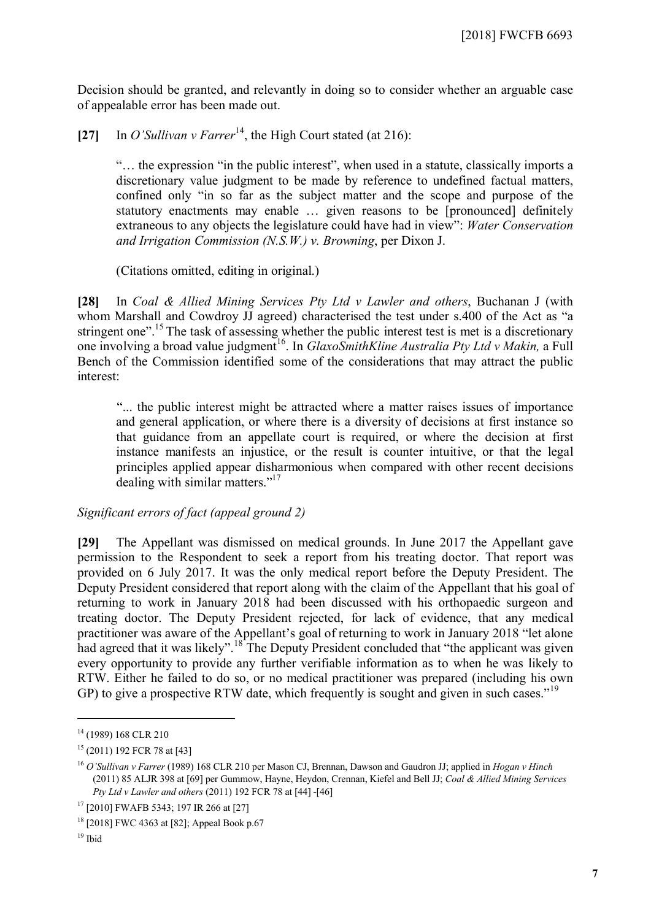Decision should be granted, and relevantly in doing so to consider whether an arguable case of appealable error has been made out.

[27] In *O'Sullivan v Farrer*<sup>[14](#page-6-0)</sup>, the High Court stated (at 216):

"… the expression "in the public interest", when used in a statute, classically imports a discretionary value judgment to be made by reference to undefined factual matters, confined only "in so far as the subject matter and the scope and purpose of the statutory enactments may enable … given reasons to be [pronounced] definitely extraneous to any objects the legislature could have had in view": *Water Conservation and Irrigation Commission (N.S.W.) v. Browning*, per Dixon J.

(Citations omitted, editing in original.)

**[28]** In *Coal & Allied Mining Services Pty Ltd v Lawler and others*, Buchanan J (with whom Marshall and Cowdroy JJ agreed) characterised the test under s.400 of the Act as "a stringent one".<sup>[15](#page-6-1)</sup> The task of assessing whether the public interest test is met is a discretionary one involving a broad value judgment<sup>[16](#page-6-2)</sup>. In *GlaxoSmithKline Australia Pty Ltd v Makin*, a Full Bench of the Commission identified some of the considerations that may attract the public interest:

"... the public interest might be attracted where a matter raises issues of importance and general application, or where there is a diversity of decisions at first instance so that guidance from an appellate court is required, or where the decision at first instance manifests an injustice, or the result is counter intuitive, or that the legal principles applied appear disharmonious when compared with other recent decisions dealing with similar matters."<sup>[17](#page-6-3)</sup>

#### *Significant errors of fact (appeal ground 2)*

**[29]** The Appellant was dismissed on medical grounds. In June 2017 the Appellant gave permission to the Respondent to seek a report from his treating doctor. That report was provided on 6 July 2017. It was the only medical report before the Deputy President. The Deputy President considered that report along with the claim of the Appellant that his goal of returning to work in January 2018 had been discussed with his orthopaedic surgeon and treating doctor. The Deputy President rejected, for lack of evidence, that any medical practitioner was aware of the Appellant's goal of returning to work in January 2018 "let alone had agreed that it was likely".<sup>[18](#page-6-4)</sup> The Deputy President concluded that "the applicant was given every opportunity to provide any further verifiable information as to when he was likely to RTW. Either he failed to do so, or no medical practitioner was prepared (including his own GP) to give a prospective RTW date, which frequently is sought and given in such cases.<sup>"[19](#page-6-5)</sup>

<span id="page-6-0"></span><sup>&</sup>lt;sup>14</sup> (1989) 168 CLR 210

<span id="page-6-1"></span><sup>15</sup> (2011) 192 FCR 78 at [43]

<span id="page-6-2"></span><sup>16</sup> *O'Sullivan v Farrer* (1989) 168 CLR 210 per Mason CJ, Brennan, Dawson and Gaudron JJ; applied in *Hogan v Hinch* (2011) 85 ALJR 398 at [69] per Gummow, Hayne, Heydon, Crennan, Kiefel and Bell JJ; *Coal & Allied Mining Services Pty Ltd v Lawler and others* (2011) 192 FCR 78 at [44] -[46]

<span id="page-6-3"></span><sup>&</sup>lt;sup>17</sup> [2010] FWAFB 5343; 197 IR 266 at [27]

<span id="page-6-4"></span><sup>&</sup>lt;sup>18</sup> [2018] FWC 4363 at [82]; Appeal Book p.67

<span id="page-6-5"></span> $19$  Ibid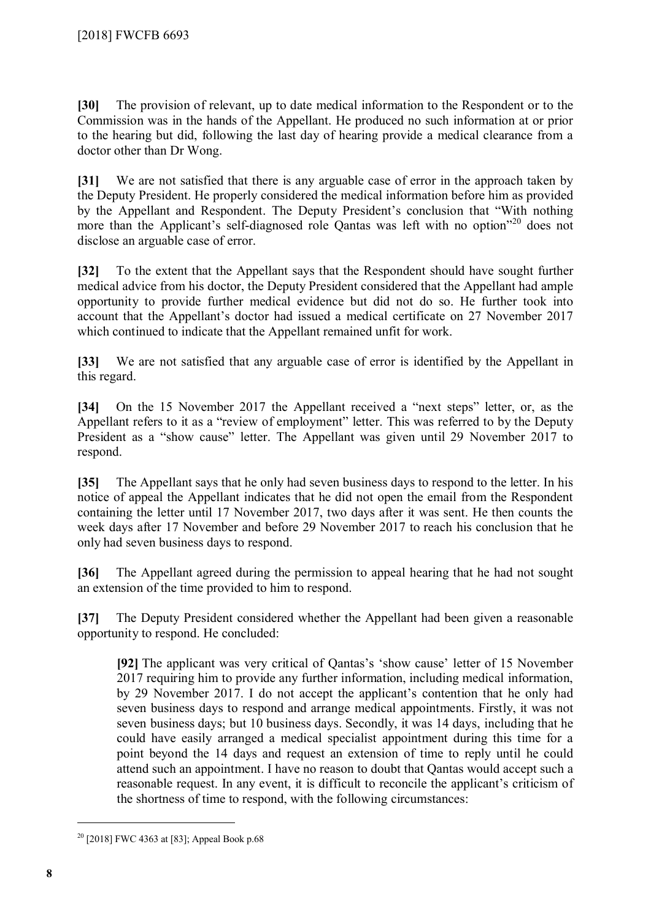**[30]** The provision of relevant, up to date medical information to the Respondent or to the Commission was in the hands of the Appellant. He produced no such information at or prior to the hearing but did, following the last day of hearing provide a medical clearance from a doctor other than Dr Wong.

**[31]** We are not satisfied that there is any arguable case of error in the approach taken by the Deputy President. He properly considered the medical information before him as provided by the Appellant and Respondent. The Deputy President's conclusion that "With nothing more than the Applicant's self-diagnosed role Qantas was left with no option"<sup>[20](#page-7-0)</sup> does not disclose an arguable case of error.

**[32]** To the extent that the Appellant says that the Respondent should have sought further medical advice from his doctor, the Deputy President considered that the Appellant had ample opportunity to provide further medical evidence but did not do so. He further took into account that the Appellant's doctor had issued a medical certificate on 27 November 2017 which continued to indicate that the Appellant remained unfit for work.

**[33]** We are not satisfied that any arguable case of error is identified by the Appellant in this regard.

**[34]** On the 15 November 2017 the Appellant received a "next steps" letter, or, as the Appellant refers to it as a "review of employment" letter. This was referred to by the Deputy President as a "show cause" letter. The Appellant was given until 29 November 2017 to respond.

**[35]** The Appellant says that he only had seven business days to respond to the letter. In his notice of appeal the Appellant indicates that he did not open the email from the Respondent containing the letter until 17 November 2017, two days after it was sent. He then counts the week days after 17 November and before 29 November 2017 to reach his conclusion that he only had seven business days to respond.

**[36]** The Appellant agreed during the permission to appeal hearing that he had not sought an extension of the time provided to him to respond.

**[37]** The Deputy President considered whether the Appellant had been given a reasonable opportunity to respond. He concluded:

**[92]** The applicant was very critical of Qantas's 'show cause' letter of 15 November 2017 requiring him to provide any further information, including medical information, by 29 November 2017. I do not accept the applicant's contention that he only had seven business days to respond and arrange medical appointments. Firstly, it was not seven business days; but 10 business days. Secondly, it was 14 days, including that he could have easily arranged a medical specialist appointment during this time for a point beyond the 14 days and request an extension of time to reply until he could attend such an appointment. I have no reason to doubt that Qantas would accept such a reasonable request. In any event, it is difficult to reconcile the applicant's criticism of the shortness of time to respond, with the following circumstances:

<span id="page-7-0"></span><sup>&</sup>lt;sup>20</sup> [2018] FWC 4363 at [83]; Appeal Book p.68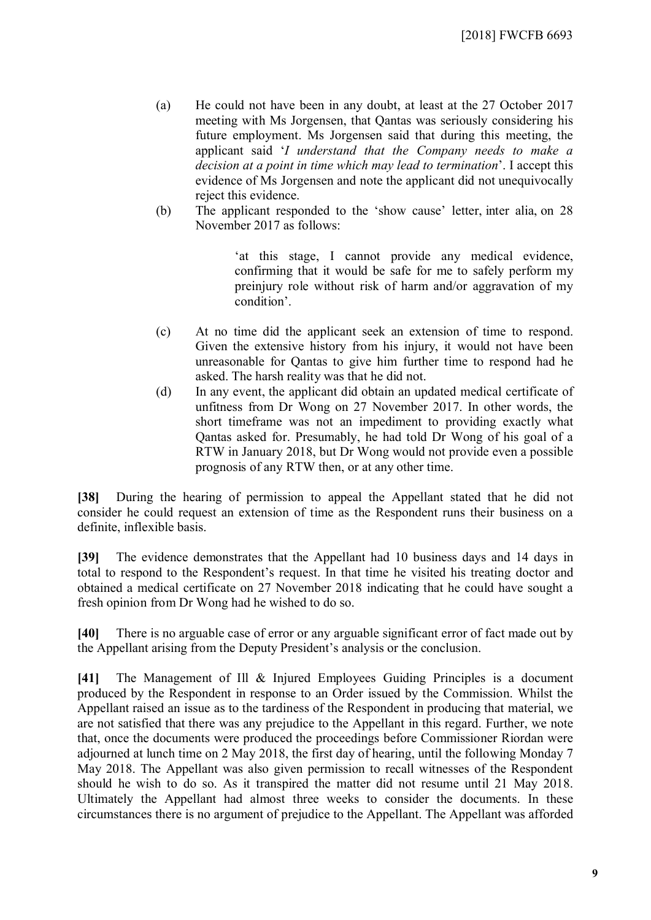[2018] FWCFB 6693

- (a) He could not have been in any doubt, at least at the 27 October 2017 meeting with Ms Jorgensen, that Qantas was seriously considering his future employment. Ms Jorgensen said that during this meeting, the applicant said '*I understand that the Company needs to make a decision at a point in time which may lead to termination*'. I accept this evidence of Ms Jorgensen and note the applicant did not unequivocally reject this evidence.
- (b) The applicant responded to the 'show cause' letter, inter alia, on 28 November 2017 as follows:

'at this stage, I cannot provide any medical evidence, confirming that it would be safe for me to safely perform my preinjury role without risk of harm and/or aggravation of my condition'.

- (c) At no time did the applicant seek an extension of time to respond. Given the extensive history from his injury, it would not have been unreasonable for Qantas to give him further time to respond had he asked. The harsh reality was that he did not.
- (d) In any event, the applicant did obtain an updated medical certificate of unfitness from Dr Wong on 27 November 2017. In other words, the short timeframe was not an impediment to providing exactly what Qantas asked for. Presumably, he had told Dr Wong of his goal of a RTW in January 2018, but Dr Wong would not provide even a possible prognosis of any RTW then, or at any other time.

**[38]** During the hearing of permission to appeal the Appellant stated that he did not consider he could request an extension of time as the Respondent runs their business on a definite, inflexible basis.

**[39]** The evidence demonstrates that the Appellant had 10 business days and 14 days in total to respond to the Respondent's request. In that time he visited his treating doctor and obtained a medical certificate on 27 November 2018 indicating that he could have sought a fresh opinion from Dr Wong had he wished to do so.

**[40]** There is no arguable case of error or any arguable significant error of fact made out by the Appellant arising from the Deputy President's analysis or the conclusion.

**[41]** The Management of Ill & Injured Employees Guiding Principles is a document produced by the Respondent in response to an Order issued by the Commission. Whilst the Appellant raised an issue as to the tardiness of the Respondent in producing that material, we are not satisfied that there was any prejudice to the Appellant in this regard. Further, we note that, once the documents were produced the proceedings before Commissioner Riordan were adjourned at lunch time on 2 May 2018, the first day of hearing, until the following Monday 7 May 2018. The Appellant was also given permission to recall witnesses of the Respondent should he wish to do so. As it transpired the matter did not resume until 21 May 2018. Ultimately the Appellant had almost three weeks to consider the documents. In these circumstances there is no argument of prejudice to the Appellant. The Appellant was afforded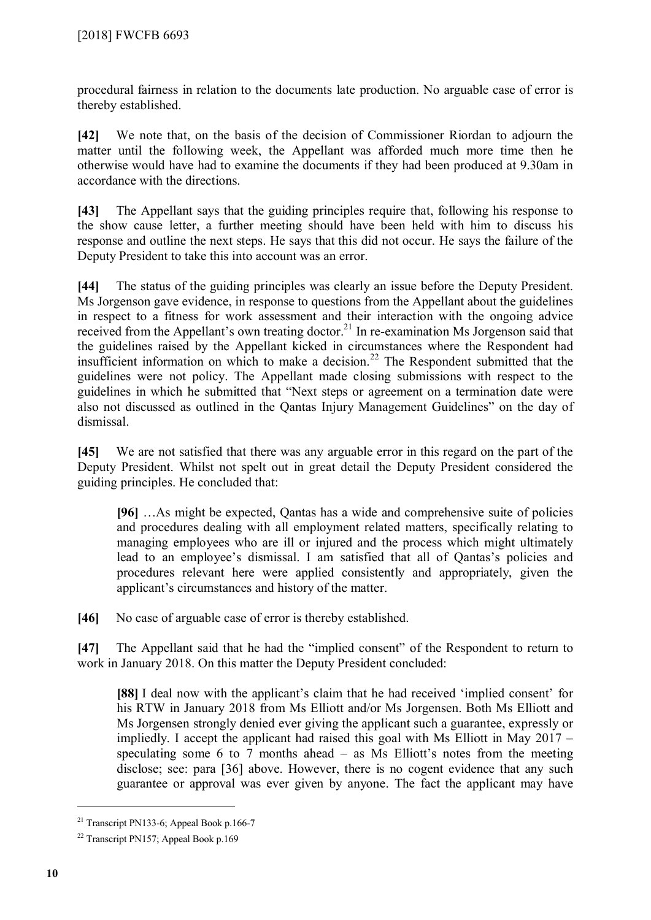procedural fairness in relation to the documents late production. No arguable case of error is thereby established.

**[42]** We note that, on the basis of the decision of Commissioner Riordan to adjourn the matter until the following week, the Appellant was afforded much more time then he otherwise would have had to examine the documents if they had been produced at 9.30am in accordance with the directions.

**[43]** The Appellant says that the guiding principles require that, following his response to the show cause letter, a further meeting should have been held with him to discuss his response and outline the next steps. He says that this did not occur. He says the failure of the Deputy President to take this into account was an error.

**[44]** The status of the guiding principles was clearly an issue before the Deputy President. Ms Jorgenson gave evidence, in response to questions from the Appellant about the guidelines in respect to a fitness for work assessment and their interaction with the ongoing advice received from the Appellant's own treating doctor.<sup>[21](#page-9-0)</sup> In re-examination Ms Jorgenson said that the guidelines raised by the Appellant kicked in circumstances where the Respondent had insufficient information on which to make a decision.<sup>[22](#page-9-1)</sup> The Respondent submitted that the guidelines were not policy. The Appellant made closing submissions with respect to the guidelines in which he submitted that "Next steps or agreement on a termination date were also not discussed as outlined in the Qantas Injury Management Guidelines" on the day of dismissal.

**[45]** We are not satisfied that there was any arguable error in this regard on the part of the Deputy President. Whilst not spelt out in great detail the Deputy President considered the guiding principles. He concluded that:

**[96]** …As might be expected, Qantas has a wide and comprehensive suite of policies and procedures dealing with all employment related matters, specifically relating to managing employees who are ill or injured and the process which might ultimately lead to an employee's dismissal. I am satisfied that all of Qantas's policies and procedures relevant here were applied consistently and appropriately, given the applicant's circumstances and history of the matter.

**[46]** No case of arguable case of error is thereby established.

**[47]** The Appellant said that he had the "implied consent" of the Respondent to return to work in January 2018. On this matter the Deputy President concluded:

**[88]** I deal now with the applicant's claim that he had received 'implied consent' for his RTW in January 2018 from Ms Elliott and/or Ms Jorgensen. Both Ms Elliott and Ms Jorgensen strongly denied ever giving the applicant such a guarantee, expressly or impliedly. I accept the applicant had raised this goal with Ms Elliott in May 2017 – speculating some 6 to 7 months ahead  $-$  as Ms Elliott's notes from the meeting disclose; see: para [36] above. However, there is no cogent evidence that any such guarantee or approval was ever given by anyone. The fact the applicant may have

<span id="page-9-0"></span><sup>&</sup>lt;sup>21</sup> Transcript PN133-6; Appeal Book p.166-7

<span id="page-9-1"></span><sup>22</sup> Transcript PN157; Appeal Book p.169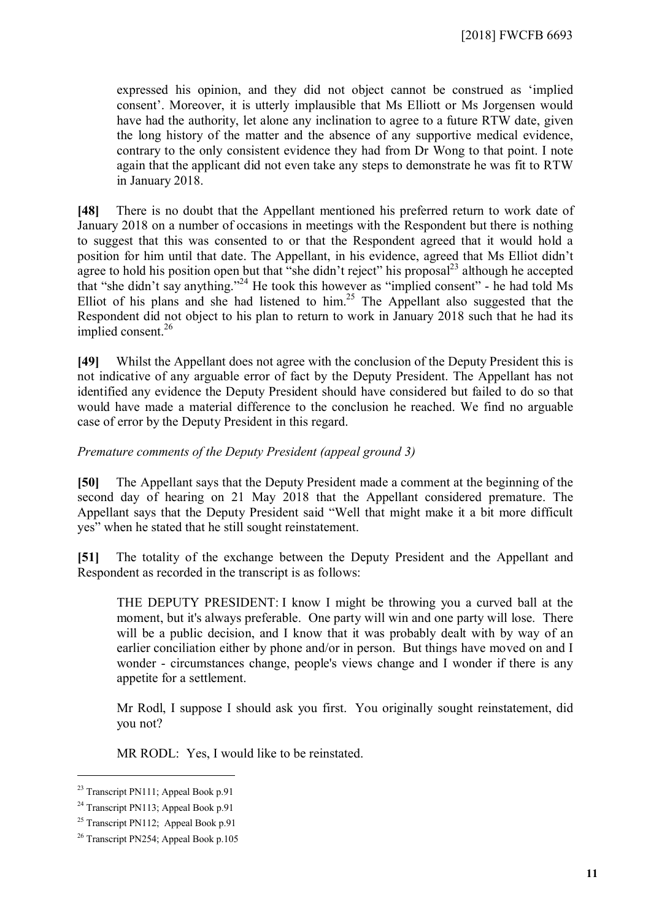expressed his opinion, and they did not object cannot be construed as 'implied consent'. Moreover, it is utterly implausible that Ms Elliott or Ms Jorgensen would have had the authority, let alone any inclination to agree to a future RTW date, given the long history of the matter and the absence of any supportive medical evidence, contrary to the only consistent evidence they had from Dr Wong to that point. I note again that the applicant did not even take any steps to demonstrate he was fit to RTW in January 2018.

**[48]** There is no doubt that the Appellant mentioned his preferred return to work date of January 2018 on a number of occasions in meetings with the Respondent but there is nothing to suggest that this was consented to or that the Respondent agreed that it would hold a position for him until that date. The Appellant, in his evidence, agreed that Ms Elliot didn't agree to hold his position open but that "she didn't reject" his proposal $^{23}$  $^{23}$  $^{23}$  although he accepted that "she didn't say anything."[24](#page-10-1) He took this however as "implied consent" - he had told Ms Elliot of his plans and she had listened to him.<sup>[25](#page-10-2)</sup> The Appellant also suggested that the Respondent did not object to his plan to return to work in January 2018 such that he had its implied consent.<sup>[26](#page-10-3)</sup>

**[49]** Whilst the Appellant does not agree with the conclusion of the Deputy President this is not indicative of any arguable error of fact by the Deputy President. The Appellant has not identified any evidence the Deputy President should have considered but failed to do so that would have made a material difference to the conclusion he reached. We find no arguable case of error by the Deputy President in this regard.

#### *Premature comments of the Deputy President (appeal ground 3)*

**[50]** The Appellant says that the Deputy President made a comment at the beginning of the second day of hearing on 21 May 2018 that the Appellant considered premature. The Appellant says that the Deputy President said "Well that might make it a bit more difficult yes" when he stated that he still sought reinstatement.

**[51]** The totality of the exchange between the Deputy President and the Appellant and Respondent as recorded in the transcript is as follows:

THE DEPUTY PRESIDENT: I know I might be throwing you a curved ball at the moment, but it's always preferable. One party will win and one party will lose. There will be a public decision, and I know that it was probably dealt with by way of an earlier conciliation either by phone and/or in person. But things have moved on and I wonder - circumstances change, people's views change and I wonder if there is any appetite for a settlement.

Mr Rodl, I suppose I should ask you first. You originally sought reinstatement, did you not?

MR RODL: Yes, I would like to be reinstated.

<span id="page-10-0"></span><sup>&</sup>lt;sup>23</sup> Transcript PN111: Appeal Book p.91

<span id="page-10-1"></span><sup>&</sup>lt;sup>24</sup> Transcript PN113; Appeal Book p.91

<span id="page-10-2"></span><sup>&</sup>lt;sup>25</sup> Transcript PN112; Appeal Book p.91

<span id="page-10-3"></span><sup>26</sup> Transcript PN254; Appeal Book p.105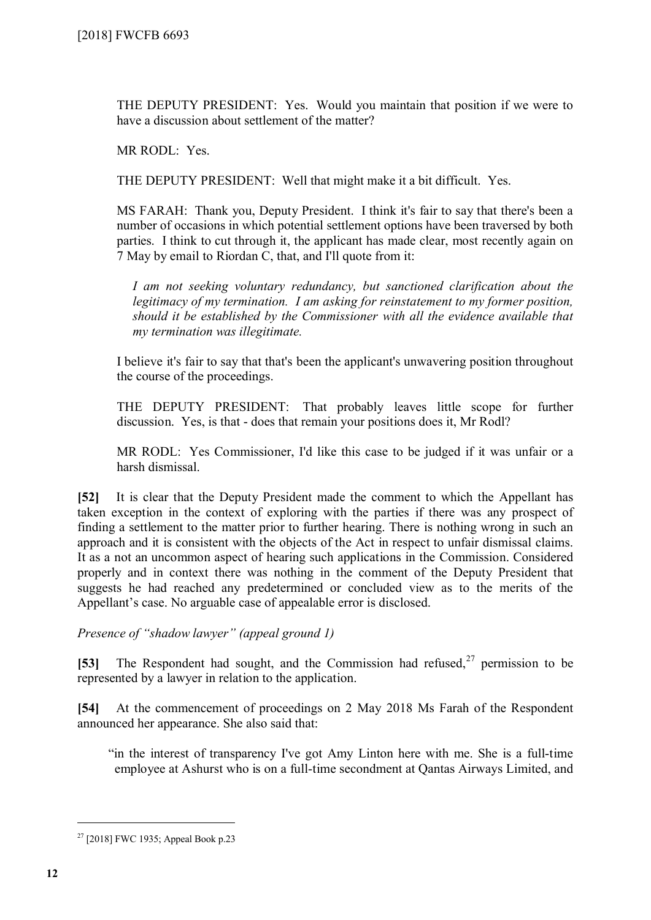THE DEPUTY PRESIDENT: Yes. Would you maintain that position if we were to have a discussion about settlement of the matter?

MR RODL: Yes.

THE DEPUTY PRESIDENT: Well that might make it a bit difficult. Yes.

MS FARAH: Thank you, Deputy President. I think it's fair to say that there's been a number of occasions in which potential settlement options have been traversed by both parties. I think to cut through it, the applicant has made clear, most recently again on 7 May by email to Riordan C, that, and I'll quote from it:

*I am not seeking voluntary redundancy, but sanctioned clarification about the legitimacy of my termination. I am asking for reinstatement to my former position, should it be established by the Commissioner with all the evidence available that my termination was illegitimate.*

I believe it's fair to say that that's been the applicant's unwavering position throughout the course of the proceedings.

THE DEPUTY PRESIDENT: That probably leaves little scope for further discussion. Yes, is that - does that remain your positions does it, Mr Rodl?

MR RODL: Yes Commissioner, I'd like this case to be judged if it was unfair or a harsh dismissal.

**[52]** It is clear that the Deputy President made the comment to which the Appellant has taken exception in the context of exploring with the parties if there was any prospect of finding a settlement to the matter prior to further hearing. There is nothing wrong in such an approach and it is consistent with the objects of the Act in respect to unfair dismissal claims. It as a not an uncommon aspect of hearing such applications in the Commission. Considered properly and in context there was nothing in the comment of the Deputy President that suggests he had reached any predetermined or concluded view as to the merits of the Appellant's case. No arguable case of appealable error is disclosed.

*Presence of "shadow lawyer" (appeal ground 1)*

[53] The Respondent had sought, and the Commission had refused,<sup>[27](#page-11-0)</sup> permission to be represented by a lawyer in relation to the application.

**[54]** At the commencement of proceedings on 2 May 2018 Ms Farah of the Respondent announced her appearance. She also said that:

"in the interest of transparency I've got Amy Linton here with me. She is a full-time employee at Ashurst who is on a full-time secondment at Qantas Airways Limited, and

<span id="page-11-0"></span> $27$  [2018] FWC 1935; Appeal Book p.23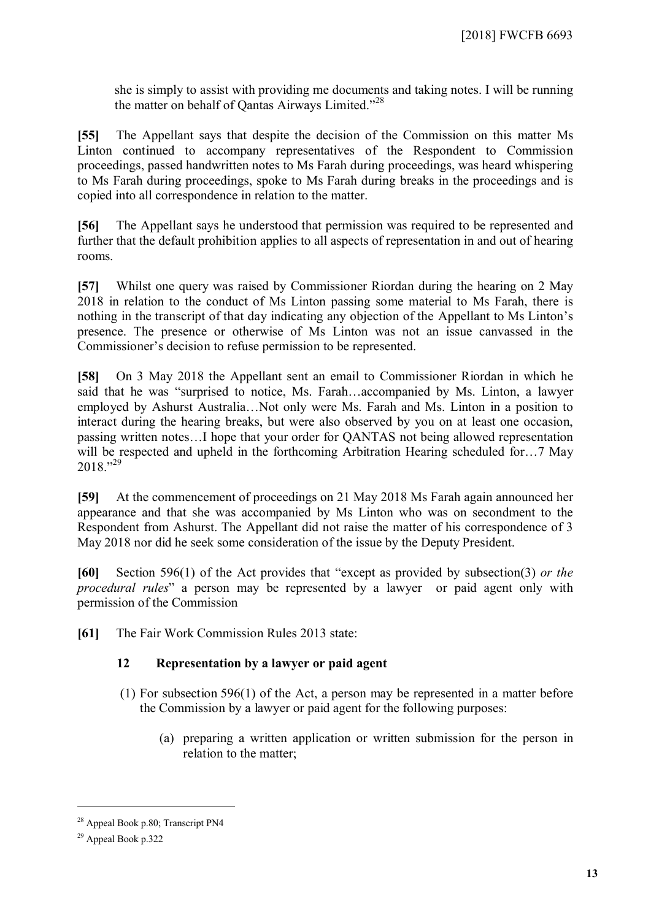she is simply to assist with providing me documents and taking notes. I will be running the matter on behalf of Qantas Airways Limited."[28](#page-12-0)

**[55]** The Appellant says that despite the decision of the Commission on this matter Ms Linton continued to accompany representatives of the Respondent to Commission proceedings, passed handwritten notes to Ms Farah during proceedings, was heard whispering to Ms Farah during proceedings, spoke to Ms Farah during breaks in the proceedings and is copied into all correspondence in relation to the matter.

**[56]** The Appellant says he understood that permission was required to be represented and further that the default prohibition applies to all aspects of representation in and out of hearing rooms.

**[57]** Whilst one query was raised by Commissioner Riordan during the hearing on 2 May 2018 in relation to the conduct of Ms Linton passing some material to Ms Farah, there is nothing in the transcript of that day indicating any objection of the Appellant to Ms Linton's presence. The presence or otherwise of Ms Linton was not an issue canvassed in the Commissioner's decision to refuse permission to be represented.

**[58]** On 3 May 2018 the Appellant sent an email to Commissioner Riordan in which he said that he was "surprised to notice, Ms. Farah…accompanied by Ms. Linton, a lawyer employed by Ashurst Australia…Not only were Ms. Farah and Ms. Linton in a position to interact during the hearing breaks, but were also observed by you on at least one occasion, passing written notes…I hope that your order for QANTAS not being allowed representation will be respected and upheld in the forthcoming Arbitration Hearing scheduled for...? May  $2018.^{929}$  $2018.^{929}$  $2018.^{929}$ 

**[59]** At the commencement of proceedings on 21 May 2018 Ms Farah again announced her appearance and that she was accompanied by Ms Linton who was on secondment to the Respondent from Ashurst. The Appellant did not raise the matter of his correspondence of 3 May 2018 nor did he seek some consideration of the issue by the Deputy President.

**[60]** Section 596(1) of the Act provides that "except as provided by subsection(3) *or the procedural rules*" a person may be represented by a lawyer or paid agent only with permission of the Commission

**[61]** The Fair Work Commission Rules 2013 state:

#### **12 Representation by a lawyer or paid agent**

- (1) For subsection 596(1) of the Act, a person may be represented in a matter before the Commission by a lawyer or paid agent for the following purposes:
	- (a) preparing a written application or written submission for the person in relation to the matter;

<span id="page-12-0"></span><sup>&</sup>lt;sup>28</sup> Appeal Book p.80; Transcript PN4

<span id="page-12-1"></span><sup>29</sup> Appeal Book p.322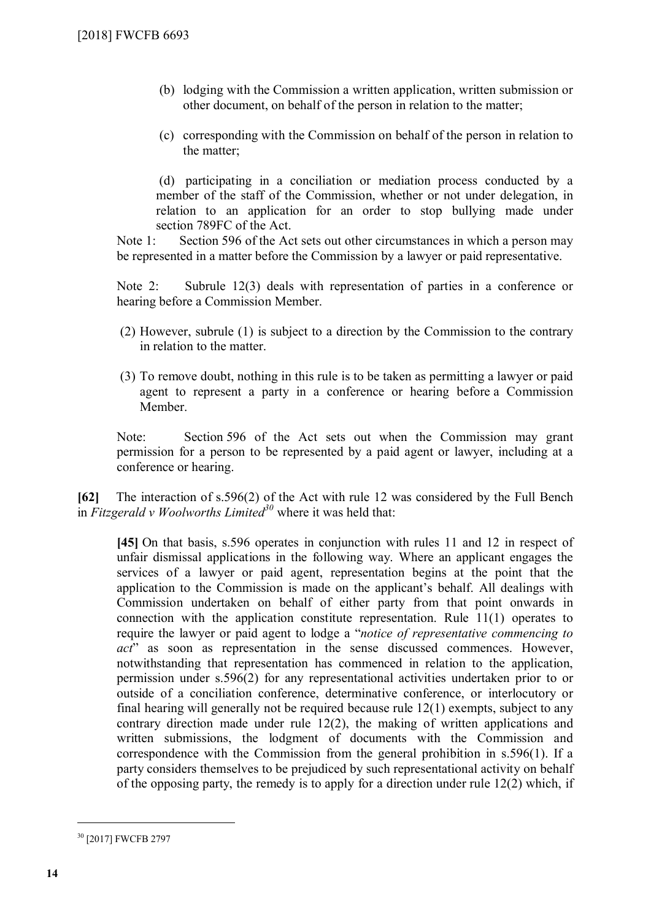- (b) lodging with the Commission a written application, written submission or other document, on behalf of the person in relation to the matter;
- (c) corresponding with the Commission on behalf of the person in relation to the matter;

(d) participating in a conciliation or mediation process conducted by a member of the staff of the Commission, whether or not under delegation, in relation to an application for an order to stop bullying made under section 789FC of the Act.

Note 1: Section 596 of the Act sets out other circumstances in which a person may be represented in a matter before the Commission by a lawyer or paid representative.

Note 2: Subrule 12(3) deals with representation of parties in a conference or hearing before a Commission Member.

- (2) However, subrule (1) is subject to a direction by the Commission to the contrary in relation to the matter.
- (3) To remove doubt, nothing in this rule is to be taken as permitting a lawyer or paid agent to represent a party in a conference or hearing before a Commission Member.

Note: Section 596 of the Act sets out when the Commission may grant permission for a person to be represented by a paid agent or lawyer, including at a conference or hearing.

**[62]** The interaction of s.596(2) of the Act with rule 12 was considered by the Full Bench in *Fitzgerald v Woolworths Limited[30](#page-13-0)* where it was held that:

**[45]** On that basis, s.596 operates in conjunction with rules 11 and 12 in respect of unfair dismissal applications in the following way. Where an applicant engages the services of a lawyer or paid agent, representation begins at the point that the application to the Commission is made on the applicant's behalf. All dealings with Commission undertaken on behalf of either party from that point onwards in connection with the application constitute representation. Rule 11(1) operates to require the lawyer or paid agent to lodge a "*notice of representative commencing to act*" as soon as representation in the sense discussed commences. However, notwithstanding that representation has commenced in relation to the application, permission under s.596(2) for any representational activities undertaken prior to or outside of a conciliation conference, determinative conference, or interlocutory or final hearing will generally not be required because rule 12(1) exempts, subject to any contrary direction made under rule 12(2), the making of written applications and written submissions, the lodgment of documents with the Commission and correspondence with the Commission from the general prohibition in s.596(1). If a party considers themselves to be prejudiced by such representational activity on behalf of the opposing party, the remedy is to apply for a direction under rule 12(2) which, if

<span id="page-13-0"></span><sup>30</sup> [2017] FWCFB 2797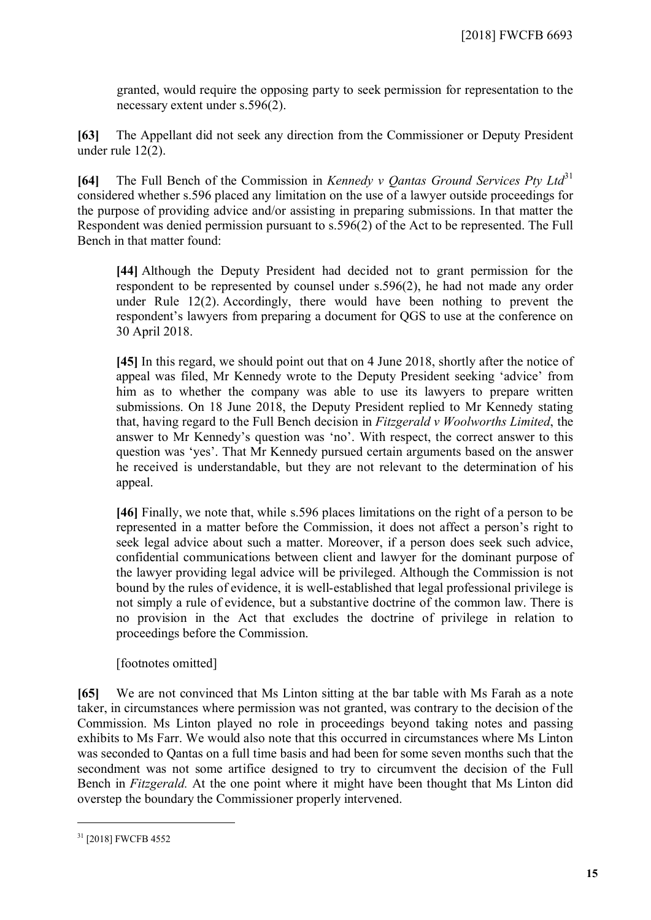granted, would require the opposing party to seek permission for representation to the necessary extent under s.596(2).

**[63]** The Appellant did not seek any direction from the Commissioner or Deputy President under rule 12(2).

**[64]** The Full Bench of the Commission in *Kennedy v Qantas Ground Services Pty Ltd*<sup>[31](#page-14-0)</sup> considered whether s.596 placed any limitation on the use of a lawyer outside proceedings for the purpose of providing advice and/or assisting in preparing submissions. In that matter the Respondent was denied permission pursuant to s.596(2) of the Act to be represented. The Full Bench in that matter found:

**[44]** Although the Deputy President had decided not to grant permission for the respondent to be represented by counsel under s.596(2), he had not made any order under Rule 12(2). Accordingly, there would have been nothing to prevent the respondent's lawyers from preparing a document for QGS to use at the conference on 30 April 2018.

**[45]** In this regard, we should point out that on 4 June 2018, shortly after the notice of appeal was filed, Mr Kennedy wrote to the Deputy President seeking 'advice' from him as to whether the company was able to use its lawyers to prepare written submissions. On 18 June 2018, the Deputy President replied to Mr Kennedy stating that, having regard to the Full Bench decision in *Fitzgerald v Woolworths Limited*, the answer to Mr Kennedy's question was 'no'. With respect, the correct answer to this question was 'yes'. That Mr Kennedy pursued certain arguments based on the answer he received is understandable, but they are not relevant to the determination of his appeal.

**[46]** Finally, we note that, while s.596 places limitations on the right of a person to be represented in a matter before the Commission, it does not affect a person's right to seek legal advice about such a matter. Moreover, if a person does seek such advice, confidential communications between client and lawyer for the dominant purpose of the lawyer providing legal advice will be privileged. Although the Commission is not bound by the rules of evidence, it is well-established that legal professional privilege is not simply a rule of evidence, but a substantive doctrine of the common law. There is no provision in the Act that excludes the doctrine of privilege in relation to proceedings before the Commission.

[footnotes omitted]

**[65]** We are not convinced that Ms Linton sitting at the bar table with Ms Farah as a note taker, in circumstances where permission was not granted, was contrary to the decision of the Commission. Ms Linton played no role in proceedings beyond taking notes and passing exhibits to Ms Farr. We would also note that this occurred in circumstances where Ms Linton was seconded to Qantas on a full time basis and had been for some seven months such that the secondment was not some artifice designed to try to circumvent the decision of the Full Bench in *Fitzgerald.* At the one point where it might have been thought that Ms Linton did overstep the boundary the Commissioner properly intervened.

<span id="page-14-0"></span><sup>31</sup> [2018] FWCFB 4552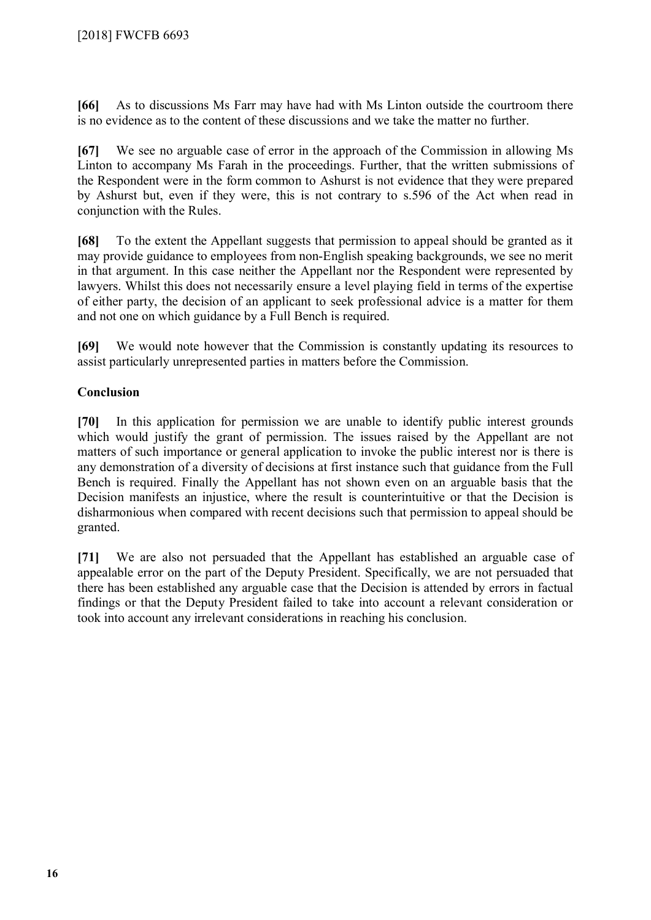**[66]** As to discussions Ms Farr may have had with Ms Linton outside the courtroom there is no evidence as to the content of these discussions and we take the matter no further.

**[67]** We see no arguable case of error in the approach of the Commission in allowing Ms Linton to accompany Ms Farah in the proceedings. Further, that the written submissions of the Respondent were in the form common to Ashurst is not evidence that they were prepared by Ashurst but, even if they were, this is not contrary to s.596 of the Act when read in conjunction with the Rules.

**[68]** To the extent the Appellant suggests that permission to appeal should be granted as it may provide guidance to employees from non-English speaking backgrounds, we see no merit in that argument. In this case neither the Appellant nor the Respondent were represented by lawyers. Whilst this does not necessarily ensure a level playing field in terms of the expertise of either party, the decision of an applicant to seek professional advice is a matter for them and not one on which guidance by a Full Bench is required.

**[69]** We would note however that the Commission is constantly updating its resources to assist particularly unrepresented parties in matters before the Commission.

## **Conclusion**

**[70]** In this application for permission we are unable to identify public interest grounds which would justify the grant of permission. The issues raised by the Appellant are not matters of such importance or general application to invoke the public interest nor is there is any demonstration of a diversity of decisions at first instance such that guidance from the Full Bench is required. Finally the Appellant has not shown even on an arguable basis that the Decision manifests an injustice, where the result is counterintuitive or that the Decision is disharmonious when compared with recent decisions such that permission to appeal should be granted.

**[71]** We are also not persuaded that the Appellant has established an arguable case of appealable error on the part of the Deputy President. Specifically, we are not persuaded that there has been established any arguable case that the Decision is attended by errors in factual findings or that the Deputy President failed to take into account a relevant consideration or took into account any irrelevant considerations in reaching his conclusion.